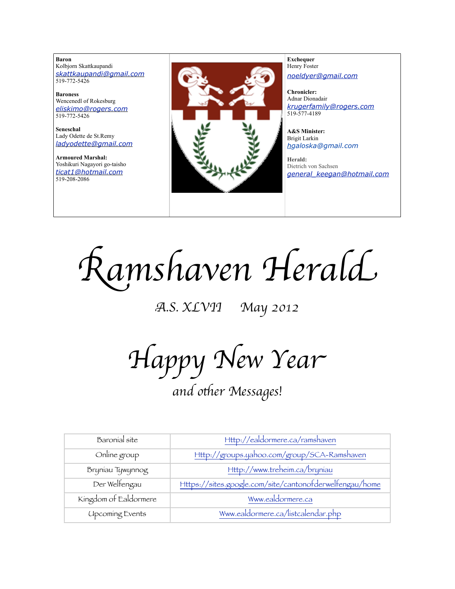**Baron**  Kolbjorn Skattkaupandi *[skattkaupandi@gmail.com](mailto:skattkaupandi@gmail.com)* 519-772-5426

**Baroness** Wencenedl of Rokesburg *[eliskimo@rogers.com](mailto:eliskimo@rogers.com)* 519-772-5426

**Seneschal** Lady Odette de St.Remy *[ladyodette@gmail.com](mailto:patchett@sympatico.ca)*

**Armoured Marshal:** Yoshikuri Nagayori go-taisho *[ticat1@hotmail.com](mailto:ticat1@hotmail.com)* 519-208-2086



**Exchequer** Henry Foster *[noeldyer@gmail.com](mailto:noeldyer@gmail.com)*

**Chronicler:** Adnar Dionadair *[krugerfamily@rogers.com](mailto:erhardkruger@gmail.com)* 519-577-4189

**A&S Minister:** Brigit Larkin *hgaloska@gmail.com*

**Herald:** Dietrich von Sachsen *[general\\_keegan@hotmail.com](mailto:general_keegan@hotmail.com)*

R*amshaven Heral*d

A*.S. XLVII May 2012*

H*appy New Yea*r

*and o*&*er Messages!*

| Baronial site          | Http://ealdormere.ca/ramshaven                          |
|------------------------|---------------------------------------------------------|
| Online group           | Http://groups.yahoo.com/group/SCA-Ramshaven             |
| Bryniau Tywynnog       | Http://www.treheim.ca/bryniau                           |
| Der Welfengau          | Https://sites.google.com/site/cantonofderwelfengau/home |
| Kingdom of Ealdormere  | Www.ealdormere.ca                                       |
| <b>Upcoming Events</b> | Www.ealdormere.ca/listcalendar.php                      |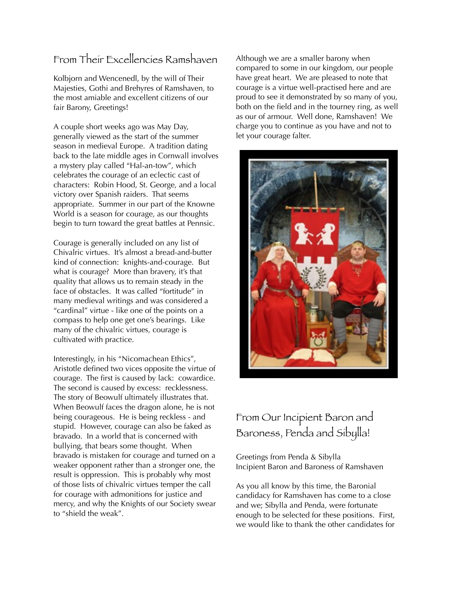## From Their Excellencies Ramshaven

Kolbjorn and Wencenedl, by the will of Their Majesties, Gothi and Brehyres of Ramshaven, to the most amiable and excellent citizens of our fair Barony, Greetings!

A couple short weeks ago was May Day, generally viewed as the start of the summer season in medieval Europe. A tradition dating back to the late middle ages in Cornwall involves a mystery play called "Hal-an-tow", which celebrates the courage of an eclectic cast of characters: Robin Hood, St. George, and a local victory over Spanish raiders. That seems appropriate. Summer in our part of the Knowne World is a season for courage, as our thoughts begin to turn toward the great battles at Pennsic.

Courage is generally included on any list of Chivalric virtues. It's almost a bread-and-butter kind of connection: knights-and-courage. But what is courage? More than bravery, it's that quality that allows us to remain steady in the face of obstacles. It was called "fortitude" in many medieval writings and was considered a "cardinal" virtue - like one of the points on a compass to help one get one's bearings. Like many of the chivalric virtues, courage is cultivated with practice.

Interestingly, in his "Nicomachean Ethics", Aristotle defined two vices opposite the virtue of courage. The first is caused by lack: cowardice. The second is caused by excess: recklessness. The story of Beowulf ultimately illustrates that. When Beowulf faces the dragon alone, he is not being courageous. He is being reckless - and stupid. However, courage can also be faked as bravado. In a world that is concerned with bullying, that bears some thought. When bravado is mistaken for courage and turned on a weaker opponent rather than a stronger one, the result is oppression. This is probably why most of those lists of chivalric virtues temper the call for courage with admonitions for justice and mercy, and why the Knights of our Society swear to "shield the weak".

Although we are a smaller barony when compared to some in our kingdom, our people have great heart. We are pleased to note that courage is a virtue well-practised here and are proud to see it demonstrated by so many of you, both on the field and in the tourney ring, as well as our of armour. Well done, Ramshaven! We charge you to continue as you have and not to let your courage falter.



## From Our Incipient Baron and Baroness, Penda and Sibylla!

Greetings from Penda & Sibylla Incipient Baron and Baroness of Ramshaven

As you all know by this time, the Baronial candidacy for Ramshaven has come to a close and we; Sibylla and Penda, were fortunate enough to be selected for these positions. First, we would like to thank the other candidates for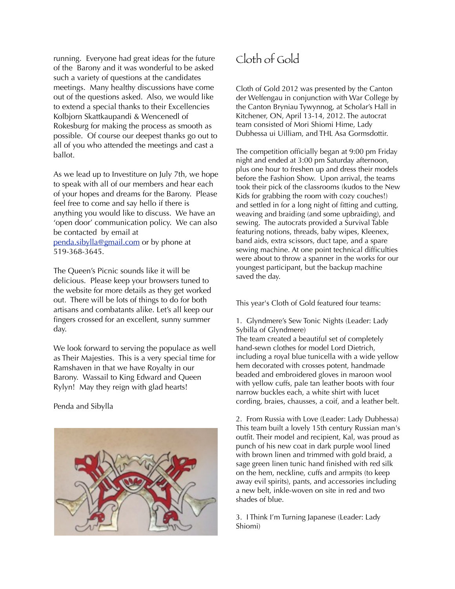running. Everyone had great ideas for the future of the Barony and it was wonderful to be asked such a variety of questions at the candidates meetings. Many healthy discussions have come out of the questions asked. Also, we would like to extend a special thanks to their Excellencies Kolbjorn Skattkaupandi & Wencenedl of Rokesburg for making the process as smooth as possible. Of course our deepest thanks go out to all of you who attended the meetings and cast a ballot.

As we lead up to Investiture on July 7th, we hope to speak with all of our members and hear each of your hopes and dreams for the Barony. Please feel free to come and say hello if there is anything you would like to discuss. We have an 'open door' communication policy. We can also be contacted by email at [penda.sibylla@gmail.com](mailto:penda.sibylla@gmail.com) or by phone at 519-368-3645.

The Queen's Picnic sounds like it will be delicious. Please keep your browsers tuned to the website for more details as they get worked out. There will be lots of things to do for both artisans and combatants alike. Let's all keep our fingers crossed for an excellent, sunny summer day.

We look forward to serving the populace as well as Their Majesties. This is a very special time for Ramshaven in that we have Royalty in our Barony. Wassail to King Edward and Queen Rylyn! May they reign with glad hearts!

#### Penda and Sibylla



# Cloth of Gold

Cloth of Gold 2012 was presented by the Canton der Welfengau in conjunction with War College by the Canton Bryniau Tywynnog, at Scholar's Hall in Kitchener, ON, April 13-14, 2012. The autocrat team consisted of Mori Shiomi Hime, Lady Dubhessa ui Uilliam, and THL Asa Gormsdottir.

The competition officially began at 9:00 pm Friday night and ended at 3:00 pm Saturday afternoon, plus one hour to freshen up and dress their models before the Fashion Show. Upon arrival, the teams took their pick of the classrooms (kudos to the New Kids for grabbing the room with cozy couches!) and settled in for a long night of fitting and cutting, weaving and braiding (and some upbraiding), and sewing. The autocrats provided a Survival Table featuring notions, threads, baby wipes, Kleenex, band aids, extra scissors, duct tape, and a spare sewing machine. At one point technical difficulties were about to throw a spanner in the works for our youngest participant, but the backup machine saved the day.

This year's Cloth of Gold featured four teams:

1. Glyndmere's Sew Tonic Nights (Leader: Lady Sybilla of Glyndmere)

The team created a beautiful set of completely hand-sewn clothes for model Lord Dietrich, including a royal blue tunicella with a wide yellow hem decorated with crosses potent, handmade beaded and embroidered gloves in maroon wool with yellow cuffs, pale tan leather boots with four narrow buckles each, a white shirt with lucet cording, braies, chausses, a coif, and a leather belt.

2. From Russia with Love (Leader: Lady Dubhessa) This team built a lovely 15th century Russian man's outfit. Their model and recipient, Kal, was proud as punch of his new coat in dark purple wool lined with brown linen and trimmed with gold braid, a sage green linen tunic hand finished with red silk on the hem, neckline, cuffs and armpits (to keep away evil spirits), pants, and accessories including a new belt, inkle-woven on site in red and two shades of blue.

3. I Think I'm Turning Japanese (Leader: Lady Shiomi)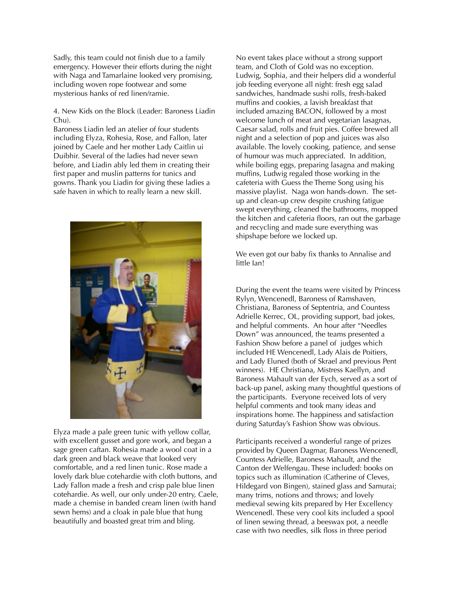Sadly, this team could not finish due to a family emergency. However their efforts during the night with Naga and Tamarlaine looked very promising, including woven rope footwear and some mysterious hanks of red linen/ramie.

4. New Kids on the Block (Leader: Baroness Liadin Chu).

Baroness Liadin led an atelier of four students including Elyza, Rohesia, Rose, and Fallon, later joined by Caele and her mother Lady Caitlin ui Duibhir. Several of the ladies had never sewn before, and Liadin ably led them in creating their first paper and muslin patterns for tunics and gowns. Thank you Liadin for giving these ladies a safe haven in which to really learn a new skill.



Elyza made a pale green tunic with yellow collar, with excellent gusset and gore work, and began a sage green caftan. Rohesia made a wool coat in a dark green and black weave that looked very comfortable, and a red linen tunic. Rose made a lovely dark blue cotehardie with cloth buttons, and Lady Fallon made a fresh and crisp pale blue linen cotehardie. As well, our only under-20 entry, Caele, made a chemise in banded cream linen (with hand sewn hems) and a cloak in pale blue that hung beautifully and boasted great trim and bling.

No event takes place without a strong support team, and Cloth of Gold was no exception. Ludwig, Sophia, and their helpers did a wonderful job feeding everyone all night: fresh egg salad sandwiches, handmade sushi rolls, fresh-baked muffins and cookies, a lavish breakfast that included amazing BACON, followed by a most welcome lunch of meat and vegetarian lasagnas, Caesar salad, rolls and fruit pies. Coffee brewed all night and a selection of pop and juices was also available. The lovely cooking, patience, and sense of humour was much appreciated. In addition, while boiling eggs, preparing lasagna and making muffins, Ludwig regaled those working in the cafeteria with Guess the Theme Song using his massive playlist. Naga won hands-down. The setup and clean-up crew despite crushing fatigue swept everything, cleaned the bathrooms, mopped the kitchen and cafeteria floors, ran out the garbage and recycling and made sure everything was shipshape before we locked up.

We even got our baby fix thanks to Annalise and little Ian!

During the event the teams were visited by Princess Rylyn, Wencenedl, Baroness of Ramshaven, Christiana, Baroness of Septentria, and Countess Adrielle Kerrec, OL, providing support, bad jokes, and helpful comments. An hour after "Needles Down" was announced, the teams presented a Fashion Show before a panel of judges which included HE Wencenedl, Lady Alais de Poitiers, and Lady Eluned (both of Skrael and previous Pent winners). HE Christiana, Mistress Kaellyn, and Baroness Mahault van der Eych, served as a sort of back-up panel, asking many thoughtful questions of the participants. Everyone received lots of very helpful comments and took many ideas and inspirations home. The happiness and satisfaction during Saturday's Fashion Show was obvious.

Participants received a wonderful range of prizes provided by Queen Dagmar, Baroness Wencenedl, Countess Adrielle, Baroness Mahault, and the Canton der Welfengau. These included: books on topics such as illumination (Catherine of Cleves, Hildegard von Bingen), stained glass and Samurai; many trims, notions and throws; and lovely medieval sewing kits prepared by Her Excellency Wencenedl. These very cool kits included a spool of linen sewing thread, a beeswax pot, a needle case with two needles, silk floss in three period